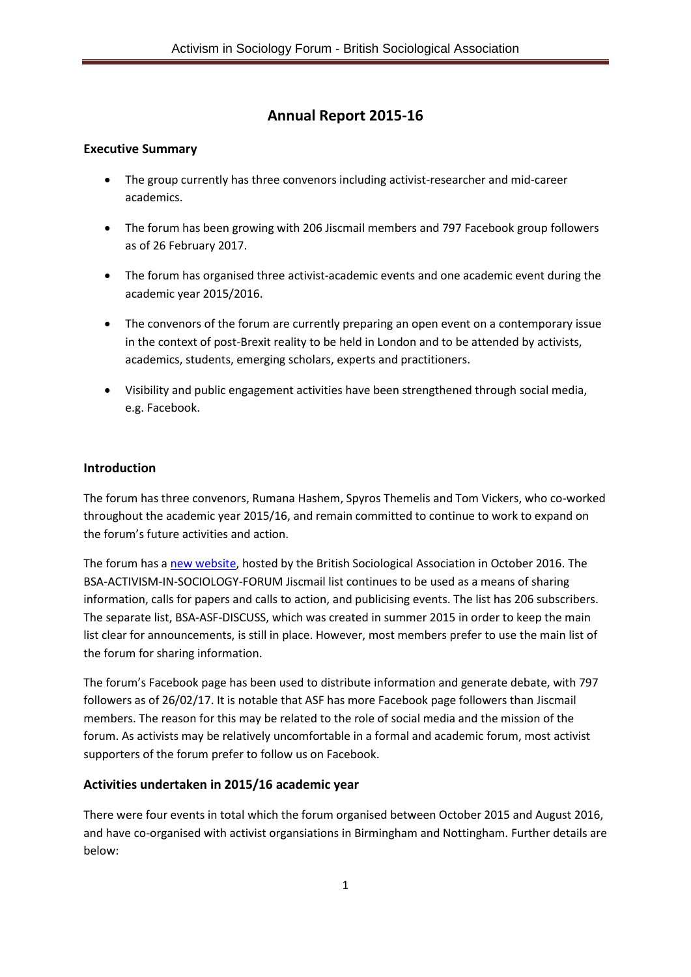# **Annual Report 2015-16**

# **Executive Summary**

- The group currently has three convenors including activist-researcher and mid-career academics.
- The forum has been growing with 206 Jiscmail members and 797 Facebook group followers as of 26 February 2017.
- The forum has organised three activist-academic events and one academic event during the academic year 2015/2016.
- The convenors of the forum are currently preparing an open event on a contemporary issue in the context of post-Brexit reality to be held in London and to be attended by activists, academics, students, emerging scholars, experts and practitioners.
- Visibility and public engagement activities have been strengthened through social media, e.g. Facebook.

### **Introduction**

The forum has three convenors, Rumana Hashem, Spyros Themelis and Tom Vickers, who co-worked throughout the academic year 2015/16, and remain committed to continue to work to expand on the forum's future activities and action.

The forum has [a new website,](https://www.britsoc.co.uk/groups/special-interest-groups/activism-in-sociology-forum/) hosted by the British Sociological Association in October 2016. The BSA-ACTIVISM-IN-SOCIOLOGY-FORUM Jiscmail list continues to be used as a means of sharing information, calls for papers and calls to action, and publicising events. The list has 206 subscribers. The separate list, BSA-ASF-DISCUSS, which was created in summer 2015 in order to keep the main list clear for announcements, is still in place. However, most members prefer to use the main list of the forum for sharing information.

The forum's Facebook page has been used to distribute information and generate debate, with 797 followers as of 26/02/17. It is notable that ASF has more Facebook page followers than Jiscmail members. The reason for this may be related to the role of social media and the mission of the forum. As activists may be relatively uncomfortable in a formal and academic forum, most activist supporters of the forum prefer to follow us on Facebook.

# **Activities undertaken in 2015/16 academic year**

There were four events in total which the forum organised between October 2015 and August 2016, and have co-organised with activist organsiations in Birmingham and Nottingham. Further details are below: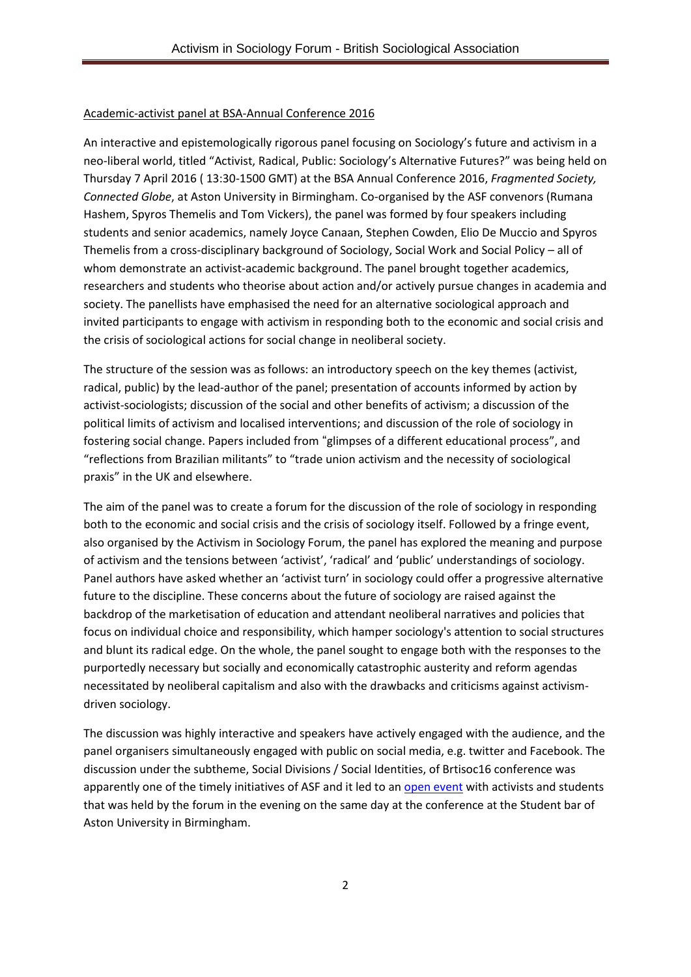### Academic-activist panel at BSA-Annual Conference 2016

An interactive and epistemologically rigorous panel focusing on Sociology's future and activism in a neo-liberal world, titled "Activist, Radical, Public: Sociology's Alternative Futures?" was being held on Thursday 7 April 2016 ( 13:30-1500 GMT) at the BSA Annual Conference 2016, *Fragmented Society, Connected Globe*, at Aston University in Birmingham. Co-organised by the ASF convenors (Rumana Hashem, Spyros Themelis and Tom Vickers), the panel was formed by four speakers including students and senior academics, namely Joyce Canaan, Stephen Cowden, Elio De Muccio and Spyros Themelis from a cross-disciplinary background of Sociology, Social Work and Social Policy – all of whom demonstrate an activist-academic background. The panel brought together academics, researchers and students who theorise about action and/or actively pursue changes in academia and society. The panellists have emphasised the need for an alternative sociological approach and invited participants to engage with activism in responding both to the economic and social crisis and the crisis of sociological actions for social change in neoliberal society.

The structure of the session was as follows: an introductory speech on the key themes (activist, radical, public) by the lead-author of the panel; presentation of accounts informed by action by activist-sociologists; discussion of the social and other benefits of activism; a discussion of the political limits of activism and localised interventions; and discussion of the role of sociology in fostering social change. Papers included from "glimpses of a different educational process", and "reflections from Brazilian militants" to "trade union activism and the necessity of sociological praxis" in the UK and elsewhere.

The aim of the panel was to create a forum for the discussion of the role of sociology in responding both to the economic and social crisis and the crisis of sociology itself. Followed by a fringe event, also organised by the Activism in Sociology Forum, the panel has explored the meaning and purpose of activism and the tensions between 'activist', 'radical' and 'public' understandings of sociology. Panel authors have asked whether an 'activist turn' in sociology could offer a progressive alternative future to the discipline. These concerns about the future of sociology are raised against the backdrop of the marketisation of education and attendant neoliberal narratives and policies that focus on individual choice and responsibility, which hamper sociology's attention to social structures and blunt its radical edge. On the whole, the panel sought to engage both with the responses to the purportedly necessary but socially and economically catastrophic austerity and reform agendas necessitated by neoliberal capitalism and also with the drawbacks and criticisms against activismdriven sociology.

The discussion was highly interactive and speakers have actively engaged with the audience, and the panel organisers simultaneously engaged with public on social media, e.g. twitter and Facebook. The discussion under the subtheme, Social Divisions / Social Identities, of Brtisoc16 conference was apparently one of the timely initiatives of ASF and it led to an [open event](https://www.facebook.com/events/1256046981091478/) with activists and students that was held by the forum in the evening on the same day at the conference at the Student bar of Aston University in Birmingham.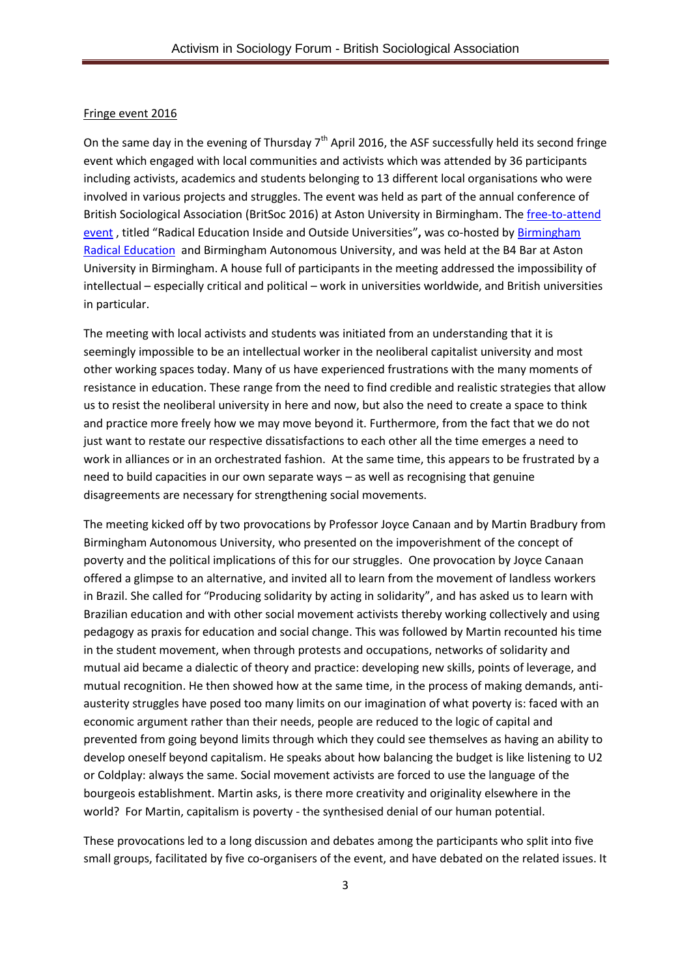#### Fringe event 2016

On the same day in the evening of Thursday 7<sup>th</sup> April 2016, the ASF successfully held its second fringe event which engaged with local communities and activists which was attended by 36 participants including activists, academics and students belonging to 13 different local organisations who were involved in various projects and struggles. The event was held as part of the annual conference of British Sociological Association (BritSoc 2016) at Aston University in Birmingham. The [free-to-attend](https://www.facebook.com/events/1256046981091478/)  [event](https://www.facebook.com/events/1256046981091478/) , titled "Radical Education Inside and Outside Universities"**,** was co-hosted by [Birmingham](https://bread4brum.wordpress.com/)  [Radical Education](https://bread4brum.wordpress.com/) and Birmingham Autonomous University, and was held at the B4 Bar at Aston University in Birmingham. A house full of participants in the meeting addressed the impossibility of intellectual – especially critical and political – work in universities worldwide, and British universities in particular.

The meeting with local activists and students was initiated from an understanding that it is seemingly impossible to be an intellectual worker in the neoliberal capitalist university and most other working spaces today. Many of us have experienced frustrations with the many moments of resistance in education. These range from the need to find credible and realistic strategies that allow us to resist the neoliberal university in here and now, but also the need to create a space to think and practice more freely how we may move beyond it. Furthermore, from the fact that we do not just want to restate our respective dissatisfactions to each other all the time emerges a need to work in alliances or in an orchestrated fashion. At the same time, this appears to be frustrated by a need to build capacities in our own separate ways – as well as recognising that genuine disagreements are necessary for strengthening social movements.

The meeting kicked off by two provocations by Professor Joyce Canaan and by Martin Bradbury from Birmingham Autonomous University, who presented on the impoverishment of the concept of poverty and the political implications of this for our struggles. One provocation by Joyce Canaan offered a glimpse to an alternative, and invited all to learn from the movement of landless workers in Brazil. She called for "Producing solidarity by acting in solidarity", and has asked us to learn with Brazilian education and with other social movement activists thereby working collectively and using pedagogy as praxis for education and social change. This was followed by Martin recounted his time in the student movement, when through protests and occupations, networks of solidarity and mutual aid became a dialectic of theory and practice: developing new skills, points of leverage, and mutual recognition. He then showed how at the same time, in the process of making demands, antiausterity struggles have posed too many limits on our imagination of what poverty is: faced with an economic argument rather than their needs, people are reduced to the logic of capital and prevented from going beyond limits through which they could see themselves as having an ability to develop oneself beyond capitalism. He speaks about how balancing the budget is like listening to U2 or Coldplay: always the same. Social movement activists are forced to use the language of the bourgeois establishment. Martin asks, is there more creativity and originality elsewhere in the world? For Martin, capitalism is poverty - the synthesised denial of our human potential.

These provocations led to a long discussion and debates among the participants who split into five small groups, facilitated by five co-organisers of the event, and have debated on the related issues. It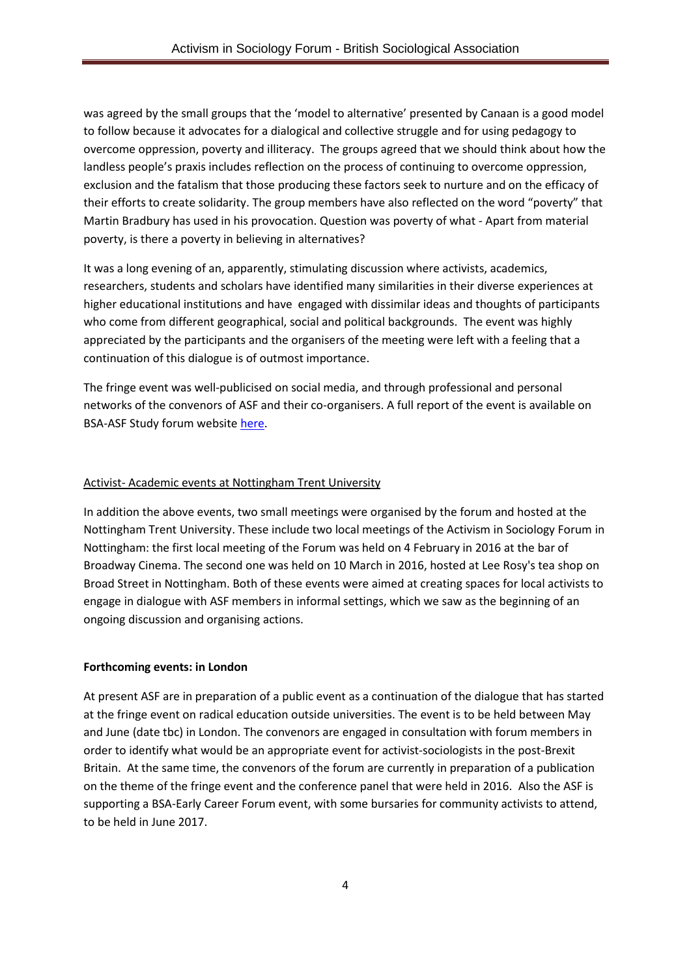was agreed by the small groups that the 'model to alternative' presented by Canaan is a good model to follow because it advocates for a dialogical and collective struggle and for using pedagogy to overcome oppression, poverty and illiteracy. The groups agreed that we should think about how the landless people's praxis includes reflection on the process of continuing to overcome oppression, exclusion and the fatalism that those producing these factors seek to nurture and on the efficacy of their efforts to create solidarity. The group members have also reflected on the word "poverty" that Martin Bradbury has used in his provocation. Question was poverty of what - Apart from material poverty, is there a poverty in believing in alternatives?

It was a long evening of an, apparently, stimulating discussion where activists, academics, researchers, students and scholars have identified many similarities in their diverse experiences at higher educational institutions and have engaged with dissimilar ideas and thoughts of participants who come from different geographical, social and political backgrounds. The event was highly appreciated by the participants and the organisers of the meeting were left with a feeling that a continuation of this dialogue is of outmost importance.

The fringe event was well-publicised on social media, and through professional and personal networks of the convenors of ASF and their co-organisers. A full report of the event is available on BSA-ASF Study forum website [here.](https://www.britsoc.co.uk/media/24178/bsa_asf_minutes_of_meeting_7_april_2016_final_09_dec_2016.pdf)

#### Activist- Academic events at Nottingham Trent University

In addition the above events, two small meetings were organised by the forum and hosted at the Nottingham Trent University. These include two local meetings of the Activism in Sociology Forum in Nottingham: the first local meeting of the Forum was held on 4 February in 2016 at the bar of Broadway Cinema. The second one was held on 10 March in 2016, hosted at Lee Rosy's tea shop on Broad Street in Nottingham. Both of these events were aimed at creating spaces for local activists to engage in dialogue with ASF members in informal settings, which we saw as the beginning of an ongoing discussion and organising actions.

#### **Forthcoming events: in London**

At present ASF are in preparation of a public event as a continuation of the dialogue that has started at the fringe event on radical education outside universities. The event is to be held between May and June (date tbc) in London. The convenors are engaged in consultation with forum members in order to identify what would be an appropriate event for activist-sociologists in the post-Brexit Britain. At the same time, the convenors of the forum are currently in preparation of a publication on the theme of the fringe event and the conference panel that were held in 2016. Also the ASF is supporting a BSA-Early Career Forum event, with some bursaries for community activists to attend, to be held in June 2017.